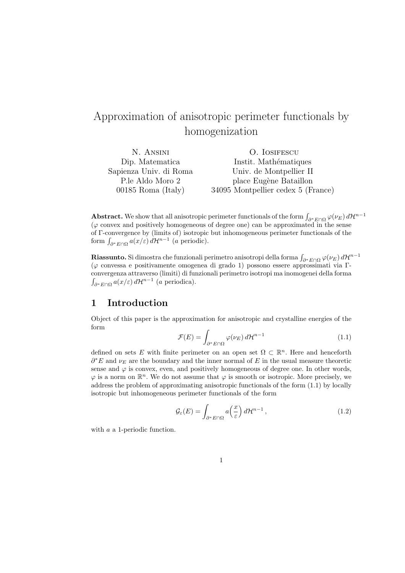# Approximation of anisotropic perimeter functionals by homogenization

| N. ANSINI              | O. IOSIFESCU                       |
|------------------------|------------------------------------|
| Dip. Matematica        | Instit. Mathématiques              |
| Sapienza Univ. di Roma | Univ. de Montpellier II            |
| P.le Aldo Moro 2       | place Eugène Bataillon             |
| $00185$ Roma (Italy)   | 34095 Montpellier cedex 5 (France) |

Abstract. We show that all anisotropic perimeter functionals of the form  $\int_{\partial^* E \cap \Omega} \varphi(\nu_E) d\mathcal{H}^{n-1}$  $(\varphi \text{ convex and positively homogeneous of degree one})$  can be approximated in the sense of Γ-convergence by (limits of) isotropic but inhomogeneous perimeter functionals of the or 1 -convergence by (imits or) isotropic<br>form  $\int_{\partial^* E \cap \Omega} a(x/\varepsilon) d\mathcal{H}^{n-1}$  (*a* periodic).

**Riassunto.** Si dimostra che funzionali perimetro anisotropi della forma  $\int_{\partial^*E\cap\Omega}\varphi(\nu_E)\,d\mathcal{H}^{n-1}$ (ϕ convessa e positivamente omogenea di grado 1) possono essere approssimati via Γconvergenza attraverso (limiti) di funzionali perimetro isotropi ma inomogenei della forma R  $\int_{\partial^* E \cap \Omega} a(x/\varepsilon) d\mathcal{H}^{n-1}$  (a periodica).

### 1 Introduction

Object of this paper is the approximation for anisotropic and crystalline energies of the form

$$
\mathcal{F}(E) = \int_{\partial^* E \cap \Omega} \varphi(\nu_E) d\mathcal{H}^{n-1}
$$
\n(1.1)

defined on sets E with finite perimeter on an open set  $\Omega \subset \mathbb{R}^n$ . Here and henceforth  $\partial^* E$  and  $\nu_E$  are the boundary and the inner normal of E in the usual measure theoretic sense and  $\varphi$  is convex, even, and positively homogeneous of degree one. In other words,  $\varphi$  is a norm on  $\mathbb{R}^n$ . We do not assume that  $\varphi$  is smooth or isotropic. More precisely, we address the problem of approximating anisotropic functionals of the form (1.1) by locally isotropic but inhomogeneous perimeter functionals of the form

$$
\mathcal{G}_{\varepsilon}(E) = \int_{\partial^* E \cap \Omega} a\left(\frac{x}{\varepsilon}\right) d\mathcal{H}^{n-1},\tag{1.2}
$$

with a a 1-periodic function.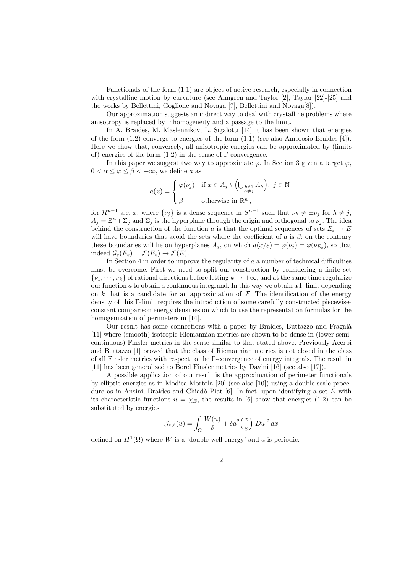Functionals of the form (1.1) are object of active research, especially in connection with crystalline motion by curvature (see Almgren and Taylor [2], Taylor [22]-[25] and the works by Bellettini, Goglione and Novaga [7], Bellettini and Novaga[8]).

Our approximation suggests an indirect way to deal with crystalline problems where anisotropy is replaced by inhomogeneity and a passage to the limit.

In A. Braides, M. Maslennikov, L. Sigalotti [14] it has been shown that energies of the form  $(1.2)$  converge to energies of the form  $(1.1)$  (see also Ambrosio-Braides [4]). Here we show that, conversely, all anisotropic energies can be approximated by (limits of) energies of the form  $(1.2)$  in the sense of  $\Gamma$ -convergence.

In this paper we suggest two way to approximate  $\varphi$ . In Section 3 given a target  $\varphi$ ,  $0 < \alpha < \varphi < \beta < +\infty$ , we define a as

$$
a(x) = \begin{cases} \varphi(\nu_j) & \text{if } x \in A_j \setminus \left(\bigcup_{\substack{h \in \mathbb{N} \\ h \neq j}} A_h \right), \ j \in \mathbb{N} \\ \beta & \text{otherwise in } \mathbb{R}^n, \end{cases}
$$

for  $\mathcal{H}^{n-1}$  a.e. x, where  $\{\nu_j\}$  is a dense sequence in  $S^{n-1}$  such that  $\nu_h \neq \pm \nu_j$  for  $h \neq j$ ,  $A_j = \mathbb{Z}^n + \Sigma_j$  and  $\Sigma_j$  is the hyperplane through the origin and orthogonal to  $\nu_j$ . The idea behind the construction of the function a is that the optimal sequences of sets  $E_{\varepsilon} \to E$ will have boundaries that avoid the sets where the coefficient of a is  $\beta$ ; on the contrary these boundaries will lie on hyperplanes  $A_j$ , on which  $a(x/\varepsilon) = \varphi(\nu_j) = \varphi(\nu_{E_\varepsilon})$ , so that indeed  $\mathcal{G}_{\varepsilon}(E_{\varepsilon}) = \mathcal{F}(E_{\varepsilon}) \to \mathcal{F}(E)$ .

In Section 4 in order to improve the regularity of  $a$  a number of technical difficulties must be overcome. First we need to split our construction by considering a finite set  $\{\nu_1, \dots, \nu_k\}$  of rational directions before letting  $k \to +\infty$ , and at the same time regularize our function a to obtain a continuous integrand. In this way we obtain a Γ-limit depending on k that is a candidate for an approximation of  $\mathcal F$ . The identification of the energy density of this Γ-limit requires the introduction of some carefully constructed piecewiseconstant comparison energy densities on which to use the representation formulas for the homogenization of perimeters in [14].

Our result has some connections with a paper by Braides, Buttazzo and Fragal`a [11] where (smooth) isotropic Riemannian metrics are shown to be dense in (lower semicontinuous) Finsler metrics in the sense similar to that stated above. Previously Acerbi and Buttazzo [1] proved that the class of Riemannian metrics is not closed in the class of all Finsler metrics with respect to the Γ-convergence of energy integrals. The result in [11] has been generalized to Borel Finsler metrics by Davini [16] (see also [17]).

A possible application of our result is the approximation of perimeter functionals by elliptic energies as in Modica-Mortola [20] (see also [10]) using a double-scale procedure as in Ansini, Braides and Chiadò Piat  $[6]$ . In fact, upon identifying a set E with its characteristic functions  $u = \chi_E$ , the results in [6] show that energies (1.2) can be substituted by energies

$$
\mathcal{J}_{\varepsilon,\delta}(u) = \int_{\Omega} \frac{W(u)}{\delta} + \delta a^2 \left(\frac{x}{\varepsilon}\right) |Du|^2 \, dx
$$

defined on  $H^1(\Omega)$  where W is a 'double-well energy' and a is periodic.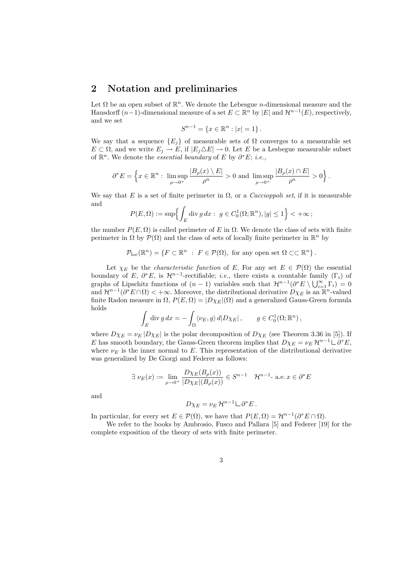### 2 Notation and preliminaries

Let  $\Omega$  be an open subset of  $\mathbb{R}^n$ . We denote the Lebesgue *n*-dimensional measure and the Hausdorff  $(n-1)$ -dimensional measure of a set  $E \subset \mathbb{R}^n$  by  $|E|$  and  $\mathcal{H}^{n-1}(E)$ , respectively, and we set

$$
S^{n-1} = \{ x \in \mathbb{R}^n : |x| = 1 \}.
$$

We say that a sequence  ${E_i}$  of measurable sets of  $\Omega$  converges to a measurable set  $E \subset \Omega$ , and we write  $E_j \to E$ , if  $|E_j \triangle E| \to 0$ . Let E be a Lesbegue measurable subset of  $\mathbb{R}^n$ . We denote the *essential boundary* of E by  $\partial^* E$ ; *i.e.*,

$$
\partial^*E=\left\{x\in\mathbb{R}^n:~\limsup_{\rho\to 0^+}\frac{|B_\rho(x)\setminus E|}{\rho^n}>0~\text{and}~\limsup_{\rho\to 0^+}\frac{|B_\rho(x)\cap E|}{\rho^n}>0\right\}.
$$

We say that E is a set of finite perimeter in  $\Omega$ , or a *Caccioppoli set*, if it is measurable and o

$$
P(E,\Omega) := \sup \Bigl\{ \int_E \operatorname{div} g \, dx : \ g \in C_0^1(\Omega;\mathbb{R}^n), |g| \le 1 \Bigr\} < +\infty ;
$$

the number  $P(E, \Omega)$  is called perimeter of E in  $\Omega$ . We denote the class of sets with finite perimeter in  $\Omega$  by  $\mathcal{P}(\Omega)$  and the class of sets of locally finite perimeter in  $\mathbb{R}^n$  by

$$
\mathcal{P}_{\text{loc}}(\mathbb{R}^n) = \{ F \subset \mathbb{R}^n : F \in \mathcal{P}(\Omega), \text{ for any open set } \Omega \subset\subset \mathbb{R}^n \}.
$$

Let  $\chi_E$  be the *characteristic function* of E. For any set  $E \in \mathcal{P}(\Omega)$  the essential boundary of E,  $\partial^* E$ , is  $\mathcal{H}^{n-1}$ -rectifiable; *i.e.*, there exists a countable family (Γ<sub>i</sub>) of boundary of L<sub>i</sub>,  $\sigma$  L<sub>i</sub>, is  $\pi$ — -rectinable; *t.e.*, there exists a countable lamily  $(1_i)$  of graphs of Lipschitz functions of  $(n-1)$  variables such that  $\mathcal{H}^{n-1}(\partial^*E \setminus \bigcup_{i=1}^{\infty} \Gamma_i) = 0$ and  $\mathcal{H}^{n-1}(\partial^*E \cap \Omega) < +\infty$ . Moreover, the distributional derivative  $D\chi_E$  is an  $\mathbb{R}^n$ -valued finite Radon measure in  $\Omega$ ,  $P(E, \Omega) = |D\chi_E|(\Omega)$  and a generalized Gauss-Green formula holds

$$
\int_E \operatorname{div} g \, dx = - \int_{\Omega} \langle \nu_E, g \rangle \, d|D\chi_E| \,, \qquad g \in C_0^1(\Omega; \mathbb{R}^n) \,,
$$

where  $D\chi_E = \nu_E |D\chi_E|$  is the polar decomposition of  $D\chi_E$  (see Theorem 3.36 in [5]). If E has smooth boundary, the Gauss-Green theorem implies that  $D\chi_E = \nu_E \mathcal{H}^{n-1} \dot{\sqcup} \partial^* E$ , where  $\nu_E$  is the inner normal to E. This representation of the distributional derivative was generalized by De Giorgi and Federer as follows:

$$
\exists \nu_E(x) := \lim_{\rho \to 0^+} \frac{D\chi_E(B_\rho(x))}{|D\chi_E|(B_\rho(x))} \in S^{n-1} \quad \mathcal{H}^{n-1} \text{ a.e. } x \in \partial^* E
$$

and

$$
D\chi_E = \nu_E \mathcal{H}^{n-1} \mathcal{L} \partial^* E.
$$

In particular, for every set  $E \in \mathcal{P}(\Omega)$ , we have that  $P(E, \Omega) = \mathcal{H}^{n-1}(\partial^* E \cap \Omega)$ .

We refer to the books by Ambrosio, Fusco and Pallara [5] and Federer [19] for the complete exposition of the theory of sets with finite perimeter.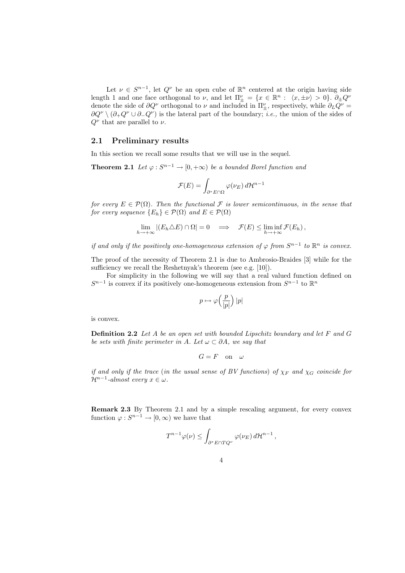Let  $\nu \in S^{n-1}$ , let  $Q^{\nu}$  be an open cube of  $\mathbb{R}^n$  centered at the origin having side length 1 and one face orthogonal to  $\nu$ , and let  $\Pi_{\pm}^{\nu} = \{x \in \mathbb{R}^n : \langle x, \pm \nu \rangle > 0\}$ .  $\partial_{\pm}Q^{\nu}$ denote the side of  $\partial Q^{\nu}$  orthogonal to  $\nu$  and included in  $\Pi_{\pm}^{\nu}$ , respectively, while  $\partial_L Q^{\nu} =$  $\partial Q^{\nu} \setminus (\partial_{+} Q^{\nu} \cup \partial_{-} Q^{\nu})$  is the lateral part of the boundary; *i.e.*, the union of the sides of  $Q^{\nu}$  that are parallel to  $\nu$ .

#### 2.1 Preliminary results

In this section we recall some results that we will use in the sequel.

**Theorem 2.1** Let  $\varphi : S^{n-1} \to [0, +\infty)$  be a bounded Borel function and

$$
\mathcal{F}(E) = \int_{\partial^* E \cap \Omega} \varphi(\nu_E) \, d\mathcal{H}^{n-1}
$$

for every  $E \in \mathcal{P}(\Omega)$ . Then the functional F is lower semicontinuous, in the sense that for every sequence  $\{E_h\} \in \mathcal{P}(\Omega)$  and  $E \in \mathcal{P}(\Omega)$ 

$$
\lim_{h \to +\infty} |(E_h \triangle E) \cap \Omega| = 0 \implies \mathcal{F}(E) \le \liminf_{h \to +\infty} \mathcal{F}(E_h),
$$

if and only if the positively one-homogeneous extension of  $\varphi$  from  $S^{n-1}$  to  $\mathbb{R}^n$  is convex.

The proof of the necessity of Theorem 2.1 is due to Ambrosio-Braides [3] while for the sufficiency we recall the Reshetnyak's theorem (see e.g. [10]).

For simplicity in the following we will say that a real valued function defined on  $S^{n-1}$  is convex if its positively one-homogeneous extension from  $S^{n-1}$  to  $\mathbb{R}^n$ 

$$
p \mapsto \varphi\left(\frac{p}{|p|}\right)|p|
$$

is convex.

**Definition 2.2** Let A be an open set with bounded Lipschitz boundary and let F and G be sets with finite perimeter in A. Let  $\omega \subset \partial A$ , we say that

$$
G = F \quad \text{on} \quad \omega
$$

if and only if the trace (in the usual sense of BV functions) of  $\chi_F$  and  $\chi_G$  coincide for  $\mathcal{H}^{n-1}\text{-}almost every x \in \omega.$ 

Remark 2.3 By Theorem 2.1 and by a simple rescaling argument, for every convex function  $\varphi: S^{n-1} \to [0, \infty)$  we have that

$$
T^{n-1}\varphi(\nu)\leq \int_{\partial^*E\cap TQ^{\nu}}\varphi(\nu_E)\,d\mathcal{H}^{n-1}\,,
$$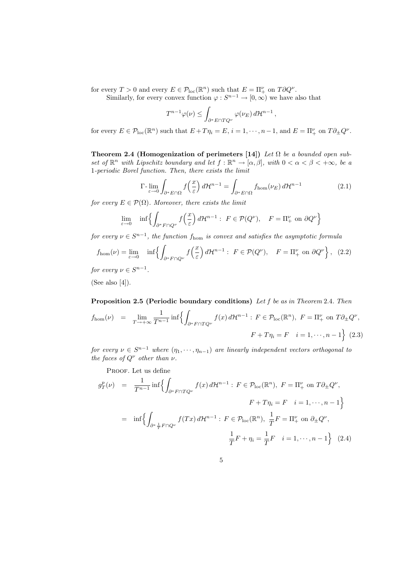for every  $T > 0$  and every  $E \in \mathcal{P}_{loc}(\mathbb{R}^n)$  such that  $E = \Pi^{\nu}_+$  on  $T \partial Q^{\nu}$ .

Similarly, for every convex function  $\varphi : S^{n-1} \to [0, \infty)$  we have also that

$$
T^{n-1}\varphi(\nu) \le \int_{\partial^* E \cap TQ^{\nu}} \varphi(\nu_E) d\mathcal{H}^{n-1}
$$

for every  $E \in \mathcal{P}_{loc}(\mathbb{R}^n)$  such that  $E + T\eta_i = E$ ,  $i = 1, \dots, n-1$ , and  $E = \Pi^{\nu}_+$  on  $T\partial_{\pm}Q^{\nu}$ .

Theorem 2.4 (Homogenization of perimeters [14]) Let  $\Omega$  be a bounded open subset of  $\mathbb{R}^n$  with Lipschitz boundary and let  $f : \mathbb{R}^n \to [\alpha, \beta]$ , with  $0 < \alpha < \beta < +\infty$ , be a 1-periodic Borel function. Then, there exists the limit

$$
\Gamma\text{-}\lim_{\varepsilon \to 0} \int_{\partial^* E \cap \Omega} f\left(\frac{x}{\varepsilon}\right) d\mathcal{H}^{n-1} = \int_{\partial^* E \cap \Omega} f_{\text{hom}}(\nu_E) d\mathcal{H}^{n-1} \tag{2.1}
$$

,

for every  $E \in \mathcal{P}(\Omega)$ . Moreover, there exists the limit

$$
\lim_{\varepsilon \to 0} \quad \inf \left\{ \int_{\partial^* F \cap Q^\nu} f\left(\frac{x}{\varepsilon}\right) d\mathcal{H}^{n-1} : \ F \in \mathcal{P}(Q^\nu), \quad F = \Pi_+^\nu \text{ on } \partial Q^\nu \right\}
$$

for every  $\nu \in S^{n-1}$ , the function  $f_{\text{hom}}$  is convex and satisfies the asymptotic formula

$$
f_{\text{hom}}(\nu) = \lim_{\varepsilon \to 0} \inf \left\{ \int_{\partial^* F \cap Q^{\nu}} f\left(\frac{x}{\varepsilon}\right) d\mathcal{H}^{n-1} : \ F \in \mathcal{P}(Q^{\nu}), \quad F = \Pi^{\nu}_+ \text{ on } \partial Q^{\nu} \right\}, \tag{2.2}
$$

for every  $\nu \in S^{n-1}$ .

(See also [4]).

Proposition 2.5 (Periodic boundary conditions) Let f be as in Theorem 2.4. Then  $f_{\text{hom}}(\nu) = \lim_{T \to +\infty}$ 1  $\frac{1}{T^{n-1}}\inf\Big\{\int$  $\partial^* F \cap T Q^{\nu}$  $f(x) d\mathcal{H}^{n-1}$ :  $F \in \mathcal{P}_{loc}(\mathbb{R}^n)$ ,  $F = \Pi^{\nu}_+$  on  $T \partial_{\pm} Q^{\nu}$ ,  $F + T \eta_i = F \quad i = 1, \dots, n - 1$ o (2.3)

for every  $\nu \in S^{n-1}$  where  $(\eta_1, \dots, \eta_{n-1})$  are linearly independent vectors orthogonal to the faces of  $Q^{\nu}$  other than  $\nu$ .

PROOF. Let us define

$$
g_T^p(\nu) = \frac{1}{T^{n-1}} \inf \Biggl\{ \int_{\partial^* F \cap TQ^\nu} f(x) d\mathcal{H}^{n-1} : F \in \mathcal{P}_{\text{loc}}(\mathbb{R}^n), F = \Pi_+^\nu \text{ on } T \partial_\pm Q^\nu,
$$

$$
F + T\eta_i = F \quad i = 1, \dots, n-1 \Biggr\}
$$

$$
= \inf \Biggl\{ \int_{\partial^* \frac{1}{T} F \cap Q^\nu} f(Tx) d\mathcal{H}^{n-1} : F \in \mathcal{P}_{\text{loc}}(\mathbb{R}^n), \frac{1}{T} F = \Pi_+^\nu \text{ on } \partial_\pm Q^\nu,
$$

$$
\frac{1}{T} F + \eta_i = \frac{1}{T} F \quad i = 1, \dots, n-1 \Biggr\} \quad (2.4)
$$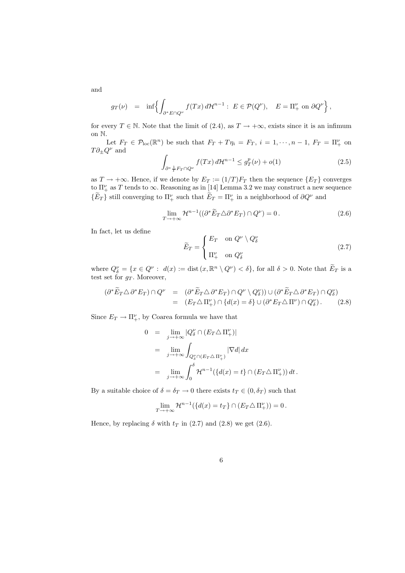$$
g_T(\nu) = \inf \Biggl\{ \int_{\partial^* E \cap Q^{\nu}} f(Tx) d\mathcal{H}^{n-1} : E \in \mathcal{P}(Q^{\nu}), \quad E = \Pi_+^{\nu} \text{ on } \partial Q^{\nu}
$$

for every  $T \in \mathbb{N}$ . Note that the limit of (2.4), as  $T \to +\infty$ , exists since it is an infimum on N.

Let  $F_T \in \mathcal{P}_{loc}(\mathbb{R}^n)$  be such that  $F_T + T\eta_i = F_T$ ,  $i = 1, \dots, n-1$ ,  $F_T = \Pi^{\nu}_+$  on  $T\partial_\pm Q^\nu$  and

$$
\int_{\partial^* \frac{1}{T} F_T \cap Q^{\nu}} f(Tx) d\mathcal{H}^{n-1} \le g_T^p(\nu) + o(1)
$$
\n(2.5)

o ,

as  $T \to +\infty$ . Hence, if we denote by  $E_T := (1/T)F_T$  then the sequence  $\{E_T\}$  converges to  $\Pi_{+}^{\nu}$  as T tends to  $\infty$ . Reasoning as in [14] Lemma 3.2 we may construct a new sequence  $\{\widetilde{E}_T\}$  still converging to  $\Pi_+^{\nu}$  such that  $\widetilde{E}_T = \Pi_+^{\nu}$  in a neighborhood of  $\partial Q^{\nu}$  and

$$
\lim_{T \to +\infty} \mathcal{H}^{n-1}((\partial^* \widetilde{E}_T \triangle \partial^* E_T) \cap Q^{\nu}) = 0.
$$
\n(2.6)

In fact, let us define

$$
\widetilde{E}_T = \begin{cases} E_T & \text{on } Q^{\nu} \setminus Q^{\nu}_{\delta} \\ \Pi^{\nu}_{+} & \text{on } Q^{\nu}_{\delta} \end{cases}
$$
\n(2.7)

where  $Q_{\delta}^{\nu} = \{x \in Q^{\nu} : d(x) := \text{dist}\left(x, \mathbb{R}^n \setminus Q^{\nu}\right) < \delta\}$ , for all  $\delta > 0$ . Note that  $\widetilde{E}_T$  is a test set for  $g_T$ . Moreover,

$$
(\partial^* \widetilde{E}_T \triangle \partial^* E_T) \cap Q^{\nu} = (\partial^* \widetilde{E}_T \triangle \partial^* E_T) \cap Q^{\nu} \setminus Q^{\nu}_{\delta}) \cup (\partial^* \widetilde{E}_T \triangle \partial^* E_T) \cap Q^{\nu}_{\delta})
$$
  
= 
$$
(E_T \triangle \Pi^{\nu}_+) \cap \{d(x) = \delta\} \cup (\partial^* E_T \triangle \Pi^{\nu}) \cap Q^{\nu}_{\delta}).
$$
 (2.8)

Since  $E_T \to \Pi_+^{\nu}$ , by Coarea formula we have that

$$
0 = \lim_{j \to +\infty} |Q_{\delta}^{\nu} \cap (E_T \triangle \Pi_+^{\nu})|
$$
  
\n
$$
= \lim_{j \to +\infty} \int_{Q_{\delta}^{\nu} \cap (E_T \triangle \Pi_+^{\nu})} |\nabla d| dx
$$
  
\n
$$
= \lim_{j \to +\infty} \int_0^{\delta} \mathcal{H}^{n-1}(\{d(x) = t\} \cap (E_T \triangle \Pi_+^{\nu})) dt.
$$

By a suitable choice of  $\delta = \delta_T \to 0$  there exists  $t_T \in (0, \delta_T)$  such that

$$
\lim_{T \to +\infty} \mathcal{H}^{n-1}(\{d(x) = t_T\} \cap (E_T \triangle \Pi_+^{\nu})) = 0.
$$

Hence, by replacing  $\delta$  with  $t_T$  in (2.7) and (2.8) we get (2.6).

6

and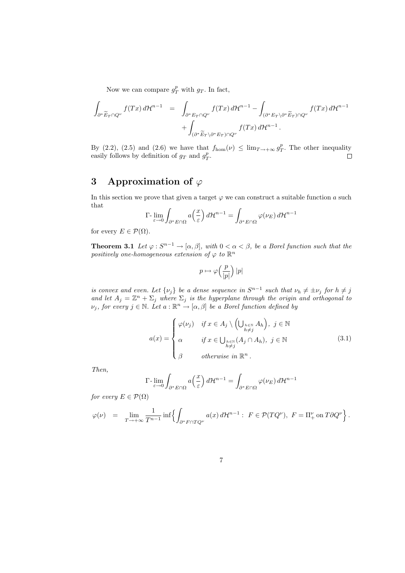Now we can compare  $g_T^p$  with  $g_T$ . In fact,

$$
\int_{\partial^* \widetilde{E}_T \cap Q^{\nu}} f(Tx) d\mathcal{H}^{n-1} = \int_{\partial^* E_T \cap Q^{\nu}} f(Tx) d\mathcal{H}^{n-1} - \int_{(\partial^* E_T \backslash \partial^* \widetilde{E}_T) \cap Q^{\nu}} f(Tx) d\mathcal{H}^{n-1} + \int_{(\partial^* \widetilde{E}_T \backslash \partial^* E_T) \cap Q^{\nu}} f(Tx) d\mathcal{H}^{n-1}.
$$

By (2.2), (2.5) and (2.6) we have that  $f_{\text{hom}}(\nu) \leq \lim_{T \to +\infty} g_T^p$ . The other inequality easily follows by definition of  $g_T$  and  $g_T^p$ .  $\Box$ 

## 3 Approximation of  $\varphi$

In this section we prove that given a target  $\varphi$  we can construct a suitable function a such that ´

$$
\Gamma\hbox{-}\lim_{\varepsilon\to 0}\int_{\partial^*E\cap\Omega}a\Big(\frac{x}{\varepsilon}\Big)\,d\mathcal{H}^{n-1}=\int_{\partial^*E\cap\Omega}\varphi(\nu_E)\,d\mathcal{H}^{n-1}
$$

for every  $E \in \mathcal{P}(\Omega)$ .

**Theorem 3.1** Let  $\varphi: S^{n-1} \to [\alpha, \beta]$ , with  $0 < \alpha < \beta$ , be a Borel function such that the positively one-homogeneous extension of  $\varphi$  to  $\mathbb{R}^n$ 

$$
p \mapsto \varphi\Big(\frac{p}{|p|}\Big) \, |p|
$$

is convex and even. Let  $\{\nu_j\}$  be a dense sequence in  $S^{n-1}$  such that  $\nu_h \neq \pm \nu_j$  for  $h \neq j$ and let  $A_j = \mathbb{Z}^n + \Sigma_j$  where  $\Sigma_j$  is the hyperplane through the origin and orthogonal to  $\nu_j$ , for every  $j \in \mathbb{N}$ . Let  $a : \mathbb{R}^n \to [\alpha, \beta]$  be a Borel function defined by

$$
a(x) = \begin{cases} \varphi(\nu_j) & \text{if } x \in A_j \setminus \left(\bigcup_{\substack{h \in \mathbb{N} \\ h \neq j}} A_h\right), \ j \in \mathbb{N} \\ \alpha & \text{if } x \in \bigcup_{\substack{h \in \mathbb{N} \\ h \neq j}} (A_j \cap A_h), \ j \in \mathbb{N} \end{cases} \tag{3.1}
$$

Then,

$$
\Gamma\hbox{-}\lim_{\varepsilon\to 0}\int_{\partial^*E\cap\Omega}a\Big(\frac{x}{\varepsilon}\Big)\,d\mathcal{H}^{n-1}=\int_{\partial^*E\cap\Omega}\varphi(\nu_E)\,d\mathcal{H}^{n-1}
$$

for every  $E \in \mathcal{P}(\Omega)$ 

$$
\varphi(\nu) \;\; = \;\; \lim_{T \rightarrow +\infty} \frac{1}{T^{n-1}} \inf \Bigl\{ \int_{\partial^* F \cap TQ^\nu} a(x) \, d\mathcal{H}^{n-1} : \; F \in \mathcal{P}(TQ^\nu), \; F = \Pi_+^\nu \text{ on } T\partial Q^\nu \Bigr\} \, .
$$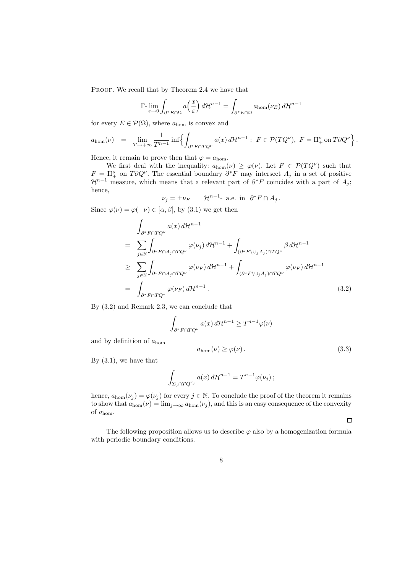PROOF. We recall that by Theorem 2.4 we have that

$$
\Gamma\hbox{-}\lim_{\varepsilon\to 0}\int_{\partial^*E\cap\Omega}a\Big(\frac{x}{\varepsilon}\Big)\,d\mathcal{H}^{n-1}=\int_{\partial^*E\cap\Omega}a_{\hom}(\nu_E)\,d\mathcal{H}^{n-1}
$$

for every  $E \in \mathcal{P}(\Omega)$ , where  $a_{\text{hom}}$  is convex and

$$
a_{\text{hom}}(\nu) = \lim_{T \to +\infty} \frac{1}{T^{n-1}} \inf \left\{ \int_{\partial^* F \cap TQ^{\nu}} a(x) d\mathcal{H}^{n-1} : F \in \mathcal{P}(TQ^{\nu}), F = \Pi_+^{\nu} \text{ on } T \partial Q^{\nu} \right\}.
$$

Hence, it remain to prove then that  $\varphi = a_{\text{hom}}$ .

We first deal with the inequality:  $a_{\text{hom}}(\nu) \geq \varphi(\nu)$ . Let  $F \in \mathcal{P}(TQ^{\nu})$  such that  $F = \Pi^{\nu}_+$  on  $T \partial Q^{\nu}$ . The essential boundary  $\partial^* F$  may intersect  $A_j$  in a set of positive  $\mathcal{H}^{n-1}$  measure, which means that a relevant part of  $\partial^* F$  coincides with a part of  $A_j$ ; hence,

$$
\nu_j = \pm \nu_F \qquad \mathcal{H}^{n-1} \text{- a.e. in } \partial^* F \cap A_j \, .
$$

Since  $\varphi(\nu) = \varphi(-\nu) \in [\alpha, \beta]$ , by (3.1) we get then

$$
\int_{\partial^* F \cap TQ^{\nu}} a(x) d\mathcal{H}^{n-1}
$$
\n
$$
= \sum_{j \in \mathbb{N}} \int_{\partial^* F \cap A_j \cap TQ^{\nu}} \varphi(\nu_j) d\mathcal{H}^{n-1} + \int_{(\partial^* F \setminus \cup_j A_j) \cap TQ^{\nu}} \beta d\mathcal{H}^{n-1}
$$
\n
$$
\geq \sum_{j \in \mathbb{N}} \int_{\partial^* F \cap A_j \cap TQ^{\nu}} \varphi(\nu_F) d\mathcal{H}^{n-1} + \int_{(\partial^* F \setminus \cup_j A_j) \cap TQ^{\nu}} \varphi(\nu_F) d\mathcal{H}^{n-1}
$$
\n
$$
= \int_{\partial^* F \cap TQ^{\nu}} \varphi(\nu_F) d\mathcal{H}^{n-1}.
$$
\n(3.2)

By (3.2) and Remark 2.3, we can conclude that

$$
\int_{\partial^* F \cap TQ^{\nu}} a(x) d\mathcal{H}^{n-1} \ge T^{n-1} \varphi(\nu)
$$

and by definition of  $a_{\text{hom}}$ 

$$
a_{\text{hom}}(\nu) \ge \varphi(\nu). \tag{3.3}
$$

By (3.1), we have that

$$
\int_{\Sigma_j \cap TQ^{\nu_j}} a(x) d\mathcal{H}^{n-1} = T^{n-1} \varphi(\nu_j) \, ;
$$

hence,  $a_{\text{hom}}(\nu_j) = \varphi(\nu_j)$  for every  $j \in \mathbb{N}$ . To conclude the proof of the theorem it remains to show that  $a_{\text{hom}}(\nu) = \lim_{j \to \infty} a_{\text{hom}}(\nu_j)$ , and this is an easy consequence of the convexity of  $a_{\text{hom}}$ .

 $\Box$ 

The following proposition allows us to describe  $\varphi$  also by a homogenization formula with periodic boundary conditions.

8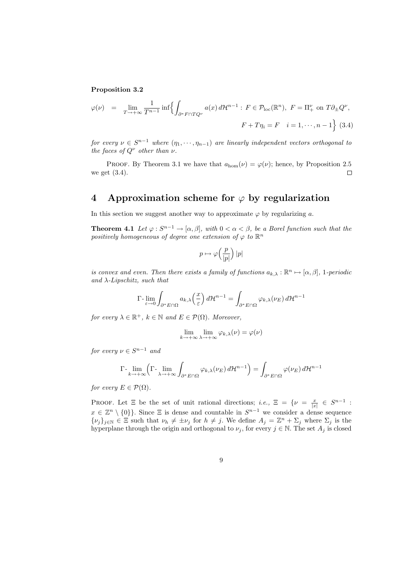#### Proposition 3.2

$$
\varphi(\nu) = \lim_{T \to +\infty} \frac{1}{T^{n-1}} \inf \left\{ \int_{\partial^* F \cap TQ^{\nu}} a(x) d\mathcal{H}^{n-1} : F \in \mathcal{P}_{\text{loc}}(\mathbb{R}^n), F = \Pi_+^{\nu} \text{ on } T \partial_{\pm} Q^{\nu}, \right\}
$$

$$
F + T\eta_i = F \quad i = 1, \cdots, n-1 \right\} (3.4)
$$

for every  $\nu \in S^{n-1}$  where  $(\eta_1, \dots, \eta_{n-1})$  are linearly independent vectors orthogonal to the faces of  $Q^{\nu}$  other than  $\nu$ .

PROOF. By Theorem 3.1 we have that  $a_{\text{hom}}(\nu) = \varphi(\nu)$ ; hence, by Proposition 2.5 we get (3.4).  $\Box$ 

### 4 Approximation scheme for  $\varphi$  by regularization

In this section we suggest another way to approximate  $\varphi$  by regularizing a.

**Theorem 4.1** Let  $\varphi: S^{n-1} \to [\alpha, \beta]$ , with  $0 < \alpha < \beta$ , be a Borel function such that the positively homogeneous of degree one extension of  $\varphi$  to  $\mathbb{R}^n$ 

$$
p\mapsto \varphi\Bigl(\frac{p}{|p|}\Bigr)\,|p|
$$

is convex and even. Then there exists a family of functions  $a_{k,\lambda} : \mathbb{R}^n \mapsto [\alpha, \beta]$ , 1-periodic and  $\lambda$ -Lipschitz, such that

$$
\Gamma\hbox{-}\lim_{\varepsilon\to 0}\int_{\partial^*E\cap\Omega}a_{k,\lambda}\Big(\frac{x}{\varepsilon}\Big)\,d\mathcal H^{n-1}=\int_{\partial^*E\cap\Omega}\varphi_{k,\lambda}(\nu_E)\,d\mathcal H^{n-1}
$$

for every  $\lambda \in \mathbb{R}^+$ ,  $k \in \mathbb{N}$  and  $E \in \mathcal{P}(\Omega)$ . Moreover,

$$
\lim_{k \to +\infty} \lim_{\lambda \to +\infty} \varphi_{k,\lambda}(\nu) = \varphi(\nu)
$$

for every  $\nu \in S^{n-1}$  and

$$
\Gamma\text{-}\lim_{k\to+\infty}\left(\Gamma\text{-}\lim_{\lambda\to+\infty}\int_{\partial^*E\cap\Omega}\varphi_{k,\lambda}(\nu_E)\,d\mathcal{H}^{n-1}\right)=\int_{\partial^*E\cap\Omega}\varphi(\nu_E)\,d\mathcal{H}^{n-1}
$$

for every  $E \in \mathcal{P}(\Omega)$ .

PROOF. Let  $\Xi$  be the set of unit rational directions; *i.e.*,  $\Xi = \{\nu = \frac{x}{|x|} \in S^{n-1}$ :  $x \in \mathbb{Z}^n \setminus \{0\}\}.$  Since  $\Xi$  is dense and countable in  $S^{n-1}$  we consider a dense sequence  $\{\nu_j\}_{j\in\mathbb{N}}\in\Xi$  such that  $\nu_h\neq\pm\nu_j$  for  $h\neq j$ . We define  $A_j=\mathbb{Z}^n+\Sigma_j$  where  $\Sigma_j$  is the hyperplane through the origin and orthogonal to  $\nu_j$ , for every  $j \in \mathbb{N}$ . The set  $A_j$  is closed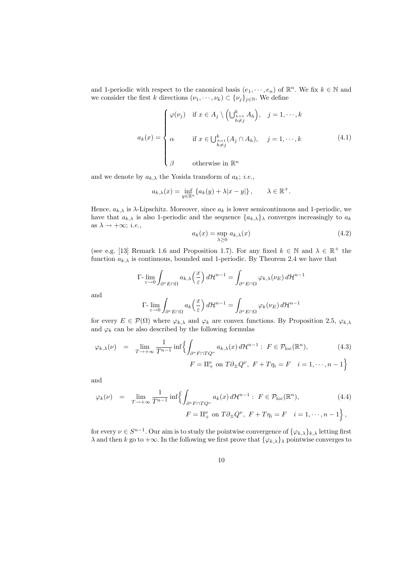and 1-periodic with respect to the canonical basis  $(e_1, \dots, e_n)$  of  $\mathbb{R}^n$ . We fix  $k \in \mathbb{N}$  and we consider the first k directions  $(\nu_1, \dots, \nu_k) \subset {\{\nu_j\}}_{j \in \mathbb{N}}$ . We define

$$
a_k(x) = \begin{cases} \varphi(\nu_j) & \text{if } x \in A_j \setminus \left(\bigcup_{\substack{h=1 \\ h \neq j}}^k A_h\right), \quad j = 1, \dots, k \\ \alpha & \text{if } x \in \bigcup_{\substack{h=1 \\ h \neq j}}^k (A_j \cap A_h), \quad j = 1, \dots, k \\ \beta & \text{otherwise in } \mathbb{R}^n \end{cases} \tag{4.1}
$$

and we denote by  $a_{k,\lambda}$  the Yosida transform of  $a_k$ ; *i.e.*,

$$
a_{k,\lambda}(x) = \inf_{y \in \mathbb{R}^n} \{ a_k(y) + \lambda |x - y| \}, \qquad \lambda \in \mathbb{R}^+.
$$

Hence,  $a_{k,\lambda}$  is  $\lambda$ -Lipschitz. Moreover, since  $a_k$  is lower semicontinuous and 1-periodic, we have that  $a_{k,\lambda}$  is also 1-periodic and the sequence  $\{a_{k,\lambda}\}\$  $\lambda}$  converges increasingly to  $a_k$ as  $\lambda \rightarrow +\infty$ ; *i.e.*,

$$
a_k(x) = \sup_{\lambda \ge 0} a_{k,\lambda}(x) \tag{4.2}
$$

(see e.g. [13] Remark 1.6 and Proposition 1.7). For any fixed  $k \in \mathbb{N}$  and  $\lambda \in \mathbb{R}^+$  the function  $a_{k,\lambda}$  is continuous, bounded and 1-periodic. By Theorem 2.4 we have that

$$
\Gamma_{\epsilon \to 0} \int_{\partial^* E \cap \Omega} a_{k,\lambda} \left(\frac{x}{\epsilon}\right) d\mathcal{H}^{n-1} = \int_{\partial^* E \cap \Omega} \varphi_{k,\lambda}(\nu_E) d\mathcal{H}^{n-1}
$$
  

$$
\Gamma_{\epsilon} \lim \int a_k \left(\frac{x}{\epsilon}\right) d\mathcal{H}^{n-1} = \int \varphi_k(\nu_E) d\mathcal{H}^{n-1}
$$

and

$$
\Gamma\text{-}\lim_{\varepsilon \to 0} \int_{\partial^* E \cap \Omega} a_k \left(\frac{x}{\varepsilon}\right) d\mathcal{H}^{n-1} = \int_{\partial^* E \cap \Omega} \varphi_k(\nu_E) d\mathcal{H}^{n-1}
$$

for every  $E \in \mathcal{P}(\Omega)$  where  $\varphi_{k,\lambda}$  and  $\varphi_k$  are convex functions. By Proposition 2.5,  $\varphi_{k,\lambda}$ and  $\varphi_k$  can be also described by the following formulas

$$
\varphi_{k,\lambda}(\nu) = \lim_{T \to +\infty} \frac{1}{T^{n-1}} \inf \Biggl\{ \int_{\partial^* F \cap TQ^{\nu}} a_{k,\lambda}(x) d\mathcal{H}^{n-1} : F \in \mathcal{P}_{\text{loc}}(\mathbb{R}^n),
$$
\n
$$
F = \Pi_+^{\nu} \text{ on } T \partial_{\pm} Q^{\nu}, F + T \eta_i = F \quad i = 1, \cdots, n-1 \Biggr\}
$$
\n(4.3)

and

$$
\varphi_k(\nu) = \lim_{T \to +\infty} \frac{1}{T^{n-1}} \inf \left\{ \int_{\partial^* F \cap TQ^{\nu}} a_k(x) d\mathcal{H}^{n-1} : F \in \mathcal{P}_{\text{loc}}(\mathbb{R}^n), \right\}
$$
\n
$$
F = \Pi_+^{\nu} \text{ on } T \partial_{\pm} Q^{\nu}, F + T \eta_i = F \quad i = 1, \cdots, n-1 \right\},
$$
\n(4.4)

for every  $\nu \in S^{n-1}$ . Our aim is to study the pointwise convergence of  $\{\varphi_{k,\lambda}\}_{k,\lambda}$  letting first  $\lambda$  and then k go to  $+\infty$ . In the following we first prove that  $\{\varphi_{k,\lambda}\}\lambda$  pointwise converges to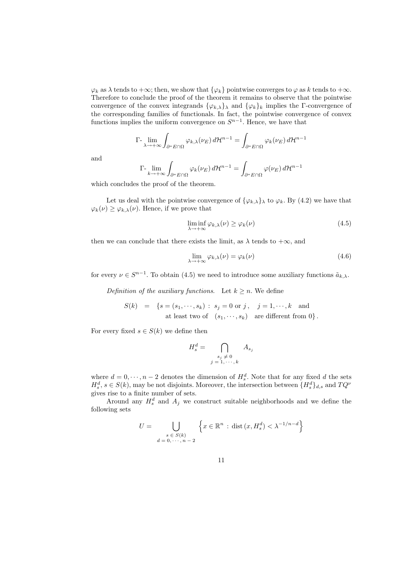$\varphi_k$  as  $\lambda$  tends to  $+\infty$ ; then, we show that  $\{\varphi_k\}$  pointwise converges to  $\varphi$  as k tends to  $+\infty$ . Therefore to conclude the proof of the theorem it remains to observe that the pointwise convergence of the convex integrands  $\{\varphi_{k,\lambda}\}\$  and  $\{\varphi_k\}_k$  implies the Γ-convergence of the corresponding families of functionals. In fact, the pointwise convergence of convex functions implies the uniform convergence on  $S^{n-1}$ . Hence, we have that

$$
\Gamma\text{-}\lim_{\lambda \to +\infty} \int_{\partial^* E \cap \Omega} \varphi_{k,\lambda}(\nu_E) d\mathcal{H}^{n-1} = \int_{\partial^* E \cap \Omega} \varphi_k(\nu_E) d\mathcal{H}^{n-1}
$$

and

$$
\Gamma \text{-} \lim_{k \to +\infty} \int_{\partial^* E \cap \Omega} \varphi_k(\nu_E) \, d\mathcal{H}^{n-1} = \int_{\partial^* E \cap \Omega} \varphi(\nu_E) \, d\mathcal{H}^{n-1}
$$

which concludes the proof of the theorem.

Let us deal with the pointwise convergence of  $\{\varphi_{k,\lambda}\}\$  to  $\varphi_k$ . By (4.2) we have that  $\varphi_k(\nu) \geq \varphi_{k,\lambda}(\nu)$ . Hence, if we prove that

$$
\liminf_{\lambda \to +\infty} \varphi_{k,\lambda}(\nu) \ge \varphi_k(\nu) \tag{4.5}
$$

then we can conclude that there exists the limit, as  $\lambda$  tends to  $+\infty$ , and

$$
\lim_{\lambda \to +\infty} \varphi_{k,\lambda}(\nu) = \varphi_k(\nu) \tag{4.6}
$$

for every  $\nu \in S^{n-1}$ . To obtain (4.5) we need to introduce some auxiliary functions  $\tilde{a}_{k,\lambda}$ .

Definition of the auxiliary functions. Let  $k \geq n$ . We define

$$
S(k) = \{s = (s_1, \dots, s_k) : s_j = 0 \text{ or } j, \quad j = 1, \dots, k \text{ and}
$$
  
at least two of  $(s_1, \dots, s_k)$  are different from 0}.

For every fixed  $s \in S(k)$  we define then

$$
H_s^d = \bigcap_{\substack{s_j \neq 0 \\ j = 1, \cdots, k}} A_{s_j}
$$

where  $d = 0, \dots, n-2$  denotes the dimension of  $H_s^d$ . Note that for any fixed d the sets  $H_s^d$ ,  $s \in S(k)$ , may be not disjoints. Moreover, the intersection between  ${H_s^d}_{ds}$  and  $TQ^{\nu}$ gives rise to a finite number of sets.

Around any  $H_s^d$  and  $A_j$  we construct suitable neighborhoods and we define the following sets

$$
U = \bigcup_{\substack{s \in S(k) \\ d = 0, \dots, n-2}} \left\{ x \in \mathbb{R}^n : \text{dist}\left(x, H_s^d\right) < \lambda^{-1/n - d} \right\}
$$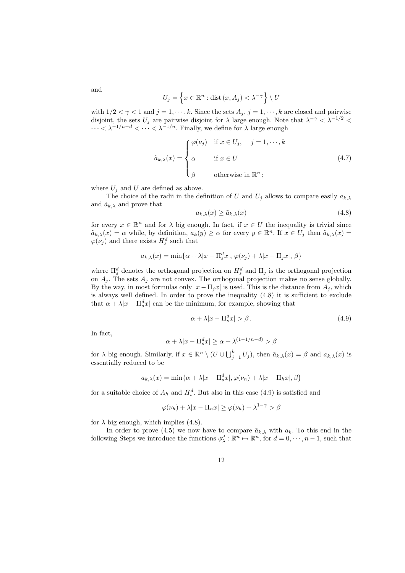$$
U_j = \left\{ x \in \mathbb{R}^n : \text{dist}\left(x, A_j\right) < \lambda^{-\gamma} \right\} \setminus U
$$

with  $1/2 < \gamma < 1$  and  $j = 1, \dots, k$ . Since the sets  $A_j$ ,  $j = 1, \dots, k$  are closed and pairwise disjoint, the sets  $U_j$  are pairwise disjoint for  $\lambda$  large enough. Note that  $\lambda^{-\gamma} < \lambda^{-1/2}$  $\cdots < \lambda^{-1/n-d} < \cdots < \lambda^{-1/n}$ . Finally, we define for  $\lambda$  large enough

$$
\tilde{a}_{k,\lambda}(x) = \begin{cases}\n\varphi(\nu_j) & \text{if } x \in U_j, \quad j = 1, \dots, k \\
\alpha & \text{if } x \in U \\
\beta & \text{otherwise in } \mathbb{R}^n ;\n\end{cases}
$$
\n(4.7)

where  $U_i$  and U are defined as above.

The choice of the radii in the definition of U and  $U_j$  allows to compare easily  $a_{k,\lambda}$ and  $\tilde{a}_{k,\lambda}$  and prove that

$$
a_{k,\lambda}(x) \ge \tilde{a}_{k,\lambda}(x) \tag{4.8}
$$

for every  $x \in \mathbb{R}^n$  and for  $\lambda$  big enough. In fact, if  $x \in U$  the inequality is trivial since  $\tilde{a}_{k,\lambda}(x) = \alpha$  while, by definition,  $a_k(y) \geq \alpha$  for every  $y \in \mathbb{R}^n$ . If  $x \in U_j$  then  $\tilde{a}_{k,\lambda}(x) =$  $\varphi(\nu_j)$  and there exists  $H_s^d$  such that

$$
a_{k,\lambda}(x) = \min\{\alpha + \lambda |x - \Pi_s^d x|, \varphi(\nu_j) + \lambda |x - \Pi_j x|, \beta\}
$$

where  $\Pi_s^d$  denotes the orthogonal projection on  $H_s^d$  and  $\Pi_j$  is the orthogonal projection on  $A_i$ . The sets  $A_i$  are not convex. The orthogonal projection makes no sense globally. By the way, in most formulas only  $|x - \Pi_j x|$  is used. This is the distance from  $A_j$ , which is always well defined. In order to prove the inequality (4.8) it is sufficient to exclude that  $\alpha + \lambda |x - \Pi_s^d x|$  can be the minimum, for example, showing that

$$
\alpha + \lambda |x - \Pi_s^d x| > \beta. \tag{4.9}
$$

In fact,

$$
\alpha + \lambda |x - \Pi_s^d x| \ge \alpha + \lambda^{(1 - 1/n - d)} > \beta
$$

for  $\lambda$  big enough. Similarly, if  $x \in \mathbb{R}^n \setminus (U \cup \bigcup_{j=1}^k U_j)$ , then  $\tilde{a}_{k,\lambda}(x) = \beta$  and  $a_{k,\lambda}(x)$  is essentially reduced to be

$$
a_{k,\lambda}(x) = \min\{\alpha + \lambda |x - \Pi_s^d x|, \varphi(\nu_h) + \lambda |x - \Pi_h x|, \beta\}
$$

for a suitable choice of  $A_h$  and  $H_s^d$ . But also in this case (4.9) is satisfied and

$$
\varphi(\nu_h) + \lambda |x - \Pi_h x| \ge \varphi(\nu_h) + \lambda^{1-\gamma} > \beta
$$

for  $\lambda$  big enough, which implies (4.8).

In order to prove (4.5) we now have to compare  $\tilde{a}_{k,\lambda}$  with  $a_k$ . To this end in the following Steps we introduce the functions  $\phi_{\lambda}^d : \mathbb{R}^n \mapsto \mathbb{R}^n$ , for  $d = 0, \dots, n-1$ , such that

12

and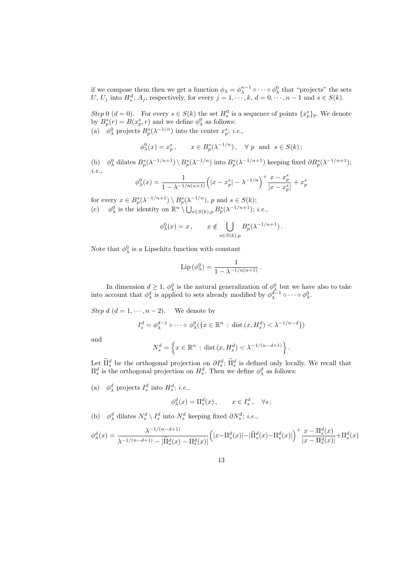if we compose them then we get a function  $\phi_{\lambda} = \phi_{\lambda}^{n-1} \circ \cdots \circ \phi_{\lambda}^0$  that "projects" the sets U, U<sub>j</sub> into  $H_s^d$ ,  $A_j$ , respectively, for every  $j = 1, \dots, k$ ,  $d = 0, \dots, n - 1$  and  $s \in S(k)$ .

Step 0  $(d = 0)$ . For every  $s \in S(k)$  the set  $H_s^0$  is a sequence of points  $\{x_p^s\}_p$ . We denote by  $B_p^s(r) = B(x_p^s, r)$  and we define  $\phi_\lambda^0$  as follows:

(a)  $\phi_{\lambda}^{0}$  projects  $B_{p}^{s}(\lambda^{-1/n})$  into the center  $x_{p}^{s}$ ; *i.e.*,

$$
\phi_{\lambda}^{0}(x) = x_{p}^{s}, \quad x \in B_{p}^{s}(\lambda^{-1/n}), \quad \forall p \text{ and } s \in S(k);
$$

(b)  $\phi_\lambda^0$  dilates  $B_p^s(\lambda^{-1/n+1}) \setminus B_p^s(\lambda^{-1/n})$  into  $B_p^s(\lambda^{-1/n+1})$  keeping fixed  $\partial B_p^s(\lambda^{-1/n+1})$ ; i.e.,

$$
\phi_{\lambda}^0(x) = \frac{1}{1 - \lambda^{-1/n(n+1)}} \Big( |x - x_p^s| - \lambda^{-1/n} \Big)^+ \frac{x - x_p^s}{|x - x_p^s|} + x_p^s
$$

for every  $x \in B_p^s(\lambda^{-1/n+1}) \setminus B_p^s(\lambda^{-1/n}), p$  and  $s \in S(k)$ ; (c)  $\phi_{\lambda}^{0}$  is the identity on  $\mathbb{R}^{n} \setminus \bigcup_{s \in S(k), p} B_{p}^{s}(\lambda^{-1/n+1});$  *i.e.*,

$$
\phi_{\lambda}^0(x) = x , \qquad x \notin \bigcup_{s \in S(k), p} B_p^s(\lambda^{-1/n+1}).
$$

Note that  $\phi_{\lambda}^{0}$  is a Lipschitz function with constant

$$
\mathrm{Lip}\left(\phi_{\lambda}^{0}\right) = \frac{1}{1 - \lambda^{-1/n(n+1)}}.
$$

In dimension  $d \geq 1$ ,  $\phi_{\lambda}^{d}$  is the natural generalization of  $\phi_{\lambda}^{0}$  but we have also to take into account that  $\phi^d_\lambda$  is applied to sets already modified by  $\phi^{d-1}_\lambda \circ \cdots \circ \phi^0_\lambda$ .

Step  $d$   $(d = 1, \dots, n-2)$ . We denote by

$$
I_s^d = \phi_\lambda^{d-1} \circ \cdots \circ \phi_\lambda^0(\{x \in \mathbb{R}^n : \text{dist}(x, H_s^d) < \lambda^{-1/n-d}\})
$$

and

$$
N_s^d = \left\{ x \in \mathbb{R}^n : \text{dist}\left(x, H_s^d\right) < \lambda^{-1/(n-d+1)} \right\}.
$$

Let  $\tilde{\Pi}_{s}^{d}$  be the orthogonal projection on  $\partial I_{s}^{d}$ ;  $\tilde{\Pi}_{s}^{d}$  is defined only locally. We recall that  $\Pi_s^d$  is the orthogonal projection on  $H_s^d$ . Then we define  $\phi_\lambda^d$  as follows:

(a)  $\phi_{\lambda}^{d}$  projects  $I_{s}^{d}$  into  $H_{s}^{d}$ ; *i.e.*,

$$
\phi^d_\lambda(x) = \Pi^d_s(x) , \qquad x \in I^d_s , \quad \forall s \, ;
$$

(b)  $\phi^d_\lambda$  dilates  $N_s^d \setminus I_s^d$  into  $N_s^d$  keeping fixed  $\partial N_s^d$ ; *i.e.*,

$$
\phi^d_\lambda(x) = \frac{\lambda^{-1/(n-d+1)}}{\lambda^{-1/(n-d+1)} - |\widetilde{\Pi}^d_s(x) - \Pi^d_s(x)|} \left( |x - \Pi^d_s(x)| - |\widetilde{\Pi}^d_s(x) - \Pi^d_s(x)| \right)^+ \frac{x - \Pi^d_s(x)}{|x - \Pi^d_s(x)|} + \Pi^d_s(x)
$$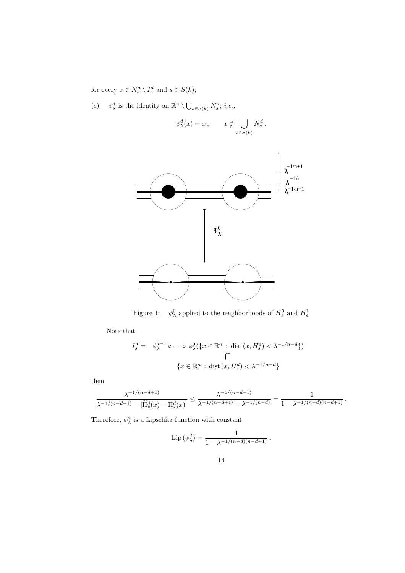for every  $x \in N_s^d \setminus I_s^d$  and  $s \in S(k)$ ;

(c)  $\phi_{\lambda}^d$  is the identity on  $\mathbb{R}^n \setminus \bigcup_{s \in S(k)} N_s^d$ ; *i.e.*,

$$
\phi^d_\lambda(x) = x, \qquad x \notin \bigcup_{s \in S(k)} N_s^d.
$$



Figure 1:  $\lambda^0$  applied to the neighborhoods of  $H_s^0$  and  $H_s^1$ 

Note that

$$
I_s^d = \phi_{\lambda}^{d-1} \circ \cdots \circ \phi_{\lambda}^0(\{x \in \mathbb{R}^n : \text{dist}(x, H_s^d) < \lambda^{-1/n - d}\})
$$
\n
$$
\bigcap_{\{x \in \mathbb{R}^n : \text{dist}(x, H_s^d) < \lambda^{-1/n - d}\}}
$$

then

$$
\frac{\lambda^{-1/(n-d+1)}}{\lambda^{-1/(n-d+1)}-|\widetilde{\Pi}_s^d(x)-\Pi_s^d(x)|} \leq \frac{\lambda^{-1/(n-d+1)}}{\lambda^{-1/(n-d+1)}-\lambda^{-1/(n-d)}} = \frac{1}{1-\lambda^{-1/(n-d)(n-d+1)}} \, .
$$

Therefore,  $\phi_{\lambda}^{d}$  is a Lipschitz function with constant

$$
\operatorname{Lip}(\phi_\lambda^d) = \frac{1}{1 - \lambda^{-1/(n-d)(n-d+1)}}.
$$

14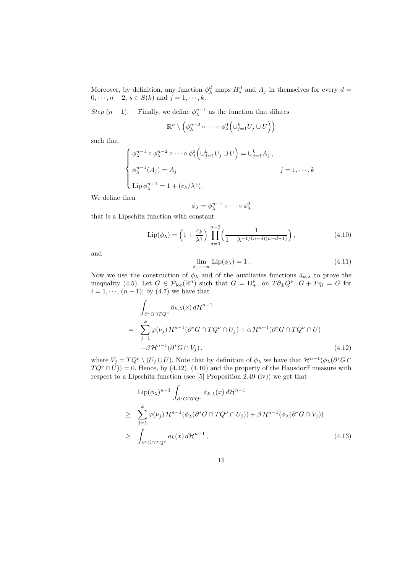Moreover, by definition, any function  $\phi_{\lambda}^d$  maps  $H_s^d$  and  $A_j$  in themselves for every  $d=$  $0, \dots, n-2, s \in S(k) \text{ and } j = 1, \dots, k.$ 

Step  $(n-1)$ . Finally, we define  $\phi_{\lambda}^{n-1}$  as the function that dilates

$$
\mathbb{R}^n \setminus \left( \phi_{\lambda}^{n-2} \circ \cdots \circ \phi_{\lambda}^0 \left( \bigcup_{j=1}^k U_j \cup U \right) \right)
$$

such that

$$
\begin{cases}\n\phi_{\lambda}^{n-1} \circ \phi_{\lambda}^{n-2} \circ \cdots \circ \phi_{\lambda}^{0} \left( \bigcup_{j=1}^{k} U_{j} \cup U \right) = \bigcup_{j=1}^{k} A_{j}, \\
\phi_{\lambda}^{n-1} (A_{j}) = A_{j} \qquad j = 1, \cdots, k \\
\operatorname{Lip} \phi_{\lambda}^{n-1} = 1 + (c_{k}/\lambda^{\gamma}).\n\end{cases}
$$

We define then

$$
\phi_{\lambda} = \phi_{\lambda}^{n-1} \circ \cdots \circ \phi_{\lambda}^0
$$

that is a Lipschitz function with constant

$$
\text{Lip}(\phi_{\lambda}) = \left(1 + \frac{c_k}{\lambda^{\gamma}}\right) \prod_{d=0}^{n-2} \left(\frac{1}{1 - \lambda^{-1/(n-d)(n-d+1)}}\right),\tag{4.10}
$$

and

$$
\lim_{\lambda \to +\infty} \text{Lip}(\phi_{\lambda}) = 1. \tag{4.11}
$$

Now we use the construction of  $\phi_{\lambda}$  and of the auxiliaries functions  $\tilde{a}_{k,\lambda}$  to prove the inequality (4.5). Let  $G \in \mathcal{P}_{loc}(\mathbb{R}^n)$  such that  $G = \Pi^{\nu}_+$ , on  $T \partial_{\pm} Q^{\nu}$ ,  $G + T \eta_i = G$  for  $i = 1, \dots, (n - 1)$ ; by (4.7) we have that

$$
\int_{\partial^* G \cap TQ^{\nu}} \tilde{a}_{k,\lambda}(x) d\mathcal{H}^{n-1}
$$
\n
$$
= \sum_{j=1}^k \varphi(\nu_j) \mathcal{H}^{n-1}(\partial^* G \cap TQ^{\nu} \cap U_j) + \alpha \mathcal{H}^{n-1}(\partial^* G \cap TQ^{\nu} \cap U)
$$
\n
$$
+ \beta \mathcal{H}^{n-1}(\partial^* G \cap V_j), \qquad (4.12)
$$

where  $V_j = TQ^{\nu} \setminus (U_j \cup U)$ . Note that by definition of  $\phi_{\lambda}$  we have that  $\mathcal{H}^{n-1}(\phi_{\lambda}(\partial^* G \cap$  $T Q^{\nu} \cap U$ )) = 0. Hence, by (4.12), (4.10) and the property of the Hausdorff measure with respect to a Lipschitz function (see [5] Proposition 2.49 (iv)) we get that

$$
\text{Lip}(\phi_{\lambda})^{n-1} \int_{\partial^* G \cap TQ^{\nu}} \tilde{a}_{k,\lambda}(x) d\mathcal{H}^{n-1}
$$
\n
$$
\geq \sum_{j=1}^k \varphi(\nu_j) \mathcal{H}^{n-1}(\phi_{\lambda}(\partial^* G \cap TQ^{\nu} \cap U_j)) + \beta \mathcal{H}^{n-1}(\phi_{\lambda}(\partial^* G \cap V_j))
$$
\n
$$
\geq \int_{\partial^* \tilde{G} \cap TQ^{\nu}} a_k(x) d\mathcal{H}^{n-1},
$$
\n(4.13)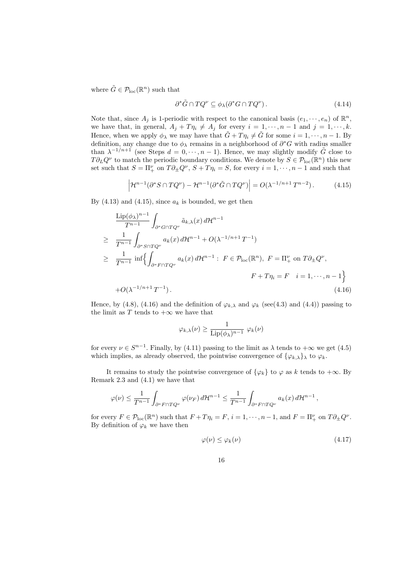where  $\tilde{G} \in \mathcal{P}_{\text{loc}}(\mathbb{R}^n)$  such that

$$
\partial^* \tilde{G} \cap T Q^{\nu} \subseteq \phi_{\lambda}(\partial^* G \cap T Q^{\nu}). \tag{4.14}
$$

Note that, since  $A_j$  is 1-periodic with respect to the canonical basis  $(e_1, \dots, e_n)$  of  $\mathbb{R}^n$ , we have that, in general,  $A_j + T \eta_i \neq A_j$  for every  $i = 1, \dots, n - 1$  and  $j = 1, \dots, k$ . Hence, when we apply  $\phi_{\lambda}$  we may have that  $\tilde{G} + T\eta_i \neq \tilde{G}$  for some  $i = 1, \dots, n - 1$ . By definition, any change due to  $\phi_{\lambda}$  remains in a neighborhood of  $\partial^*G$  with radius smaller than  $\lambda^{-1/n+1}$  (see Steps  $d = 0, \dots, n-1$ ). Hence, we may slightly modify  $\tilde{G}$  close to  $T\partial_L Q^{\nu}$  to match the periodic boundary conditions. We denote by  $S \in \mathcal{P}_{loc}(\mathbb{R}^n)$  this new set such that  $S = \Pi^{\nu}_+$  on  $T \partial_{\pm} Q^{\nu}$ ,  $S + T \eta_i = S$ , for every  $i = 1, \dots, n - 1$  and such that

$$
\left|\mathcal{H}^{n-1}(\partial^*S \cap TQ^\nu) - \mathcal{H}^{n-1}(\partial^*\tilde{G} \cap TQ^\nu)\right| = O(\lambda^{-1/n+1}T^{n-2}).\tag{4.15}
$$

By  $(4.13)$  and  $(4.15)$ , since  $a_k$  is bounded, we get then

$$
\frac{\text{Lip}(\phi_{\lambda})^{n-1}}{T^{n-1}} \int_{\partial^* G \cap TQ^{\nu}} \tilde{a}_{k,\lambda}(x) d\mathcal{H}^{n-1}
$$
\n
$$
\geq \frac{1}{T^{n-1}} \int_{\partial^* S \cap TQ^{\nu}} a_k(x) d\mathcal{H}^{n-1} + O(\lambda^{-1/n+1} T^{-1})
$$
\n
$$
\geq \frac{1}{T^{n-1}} \inf \left\{ \int_{\partial^* F \cap TQ^{\nu}} a_k(x) d\mathcal{H}^{n-1} : F \in \mathcal{P}_{\text{loc}}(\mathbb{R}^n), F = \Pi_+^{\nu} \text{ on } T \partial_{\pm} Q^{\nu},
$$
\n
$$
F + T\eta_i = F \quad i = 1, \dots, n-1 \right\}
$$
\n
$$
+ O(\lambda^{-1/n+1} T^{-1}). \tag{4.16}
$$

Hence, by (4.8), (4.16) and the definition of  $\varphi_{k,\lambda}$  and  $\varphi_k$  (see(4.3) and (4.4)) passing to the limit as T tends to  $+\infty$  we have that

$$
\varphi_{k,\lambda}(\nu) \ge \frac{1}{\text{Lip}(\phi_{\lambda})^{n-1}} \varphi_k(\nu)
$$

for every  $\nu \in S^{n-1}$ . Finally, by (4.11) passing to the limit as  $\lambda$  tends to  $+\infty$  we get (4.5) which implies, as already observed, the pointwise convergence of  $\{\varphi_{k,\lambda}\}\$  to  $\varphi_k$ .

It remains to study the pointwise convergence of  $\{\varphi_k\}$  to  $\varphi$  as k tends to  $+\infty$ . By Remark 2.3 and (4.1) we have that

$$
\varphi(\nu) \le \frac{1}{T^{n-1}} \int_{\partial^* F \cap TQ^{\nu}} \varphi(\nu_F) d\mathcal{H}^{n-1} \le \frac{1}{T^{n-1}} \int_{\partial^* F \cap TQ^{\nu}} a_k(x) d\mathcal{H}^{n-1},
$$

for every  $F \in \mathcal{P}_{loc}(\mathbb{R}^n)$  such that  $F + T\eta_i = F$ ,  $i = 1, \dots, n-1$ , and  $F = \Pi^{\nu}_+$  on  $T\partial_{\pm}Q^{\nu}$ . By definition of  $\varphi_k$  we have then

$$
\varphi(\nu) \le \varphi_k(\nu) \tag{4.17}
$$

16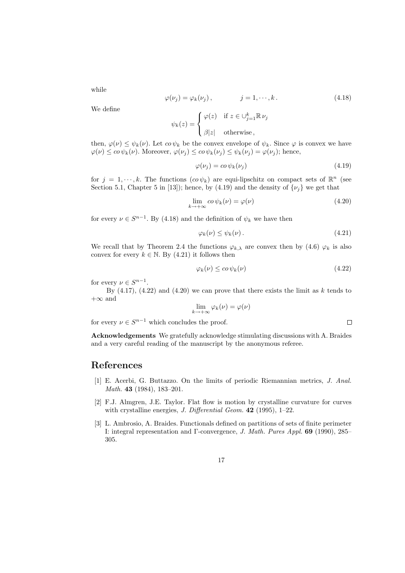while

$$
\varphi(\nu_j) = \varphi_k(\nu_j), \qquad j = 1, \cdots, k. \qquad (4.18)
$$

We define

$$
\psi_k(z) = \begin{cases} \varphi(z) & \text{if } z \in \bigcup_{j=1}^k \mathbb{R} \nu_j \\ \beta |z| & \text{otherwise} \end{cases}
$$

then,  $\varphi(\nu) \leq \psi_k(\nu)$ . Let  $\omega \psi_k$  be the convex envelope of  $\psi_k$ . Since  $\varphi$  is convex we have  $\varphi(\nu) \leq c_0 \psi_k(\nu)$ . Moreover,  $\varphi(\nu_j) \leq c_0 \psi_k(\nu_j) \leq \psi_k(\nu_j) = \varphi(\nu_j)$ ; hence,

$$
\varphi(\nu_j) = c o \psi_k(\nu_j) \tag{4.19}
$$

for  $j = 1, \dots, k$ . The functions  $(co \psi_k)$  are equi-lipschitz on compact sets of  $\mathbb{R}^n$  (see Section 5.1, Chapter 5 in [13]); hence, by (4.19) and the density of  $\{\nu_i\}$  we get that

$$
\lim_{k \to +\infty} c o \psi_k(\nu) = \varphi(\nu) \tag{4.20}
$$

for every  $\nu \in S^{n-1}$ . By (4.18) and the definition of  $\psi_k$  we have then

$$
\varphi_k(\nu) \le \psi_k(\nu). \tag{4.21}
$$

We recall that by Theorem 2.4 the functions  $\varphi_{k,\lambda}$  are convex then by (4.6)  $\varphi_k$  is also convex for every  $k \in \mathbb{N}$ . By (4.21) it follows then

$$
\varphi_k(\nu) \le c o \,\psi_k(\nu) \tag{4.22}
$$

 $\Box$ 

for every  $\nu \in S^{n-1}$ .

By  $(4.17)$ ,  $(4.22)$  and  $(4.20)$  we can prove that there exists the limit as k tends to  $+\infty$  and

$$
\lim_{k \to +\infty} \varphi_k(\nu) = \varphi(\nu)
$$

for every  $\nu \in S^{n-1}$  which concludes the proof.

Acknowledgements We gratefully acknowledge stimulating discussions with A. Braides and a very careful reading of the manuscript by the anonymous referee.

### References

- [1] E. Acerbi, G. Buttazzo. On the limits of periodic Riemannian metrics, J. Anal. Math. **43** (1984), 183-201.
- [2] F.J. Almgren, J.E. Taylor. Flat flow is motion by crystalline curvature for curves with crystalline energies, *J. Differential Geom.* **42** (1995), 1–22.
- [3] L. Ambrosio, A. Braides. Functionals defined on partitions of sets of finite perimeter I: integral representation and Γ-convergence, J. Math. Pures Appl. 69 (1990), 285– 305.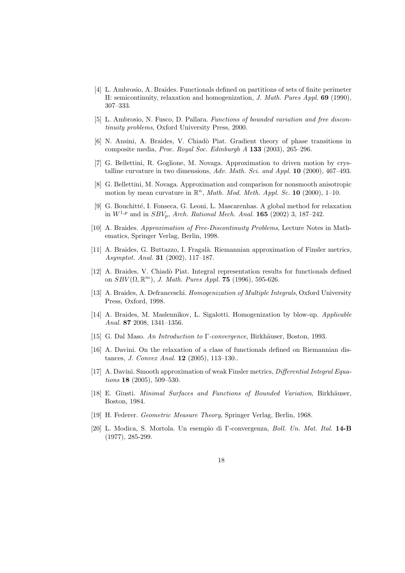- [4] L. Ambrosio, A. Braides. Functionals defined on partitions of sets of finite perimeter II: semicontinuity, relaxation and homogenization, J. Math. Pures Appl. 69 (1990), 307–333.
- [5] L. Ambrosio, N. Fusco, D. Pallara. Functions of bounded variation and free discontinuity problems, Oxford University Press, 2000.
- [6] N. Ansini, A. Braides, V. Chiad`o Piat. Gradient theory of phase transitions in composite media, Proc. Royal Soc. Edinburgh A 133 (2003), 265–296.
- [7] G. Bellettini, R. Goglione, M. Novaga. Approximation to driven motion by crystalline curvature in two dimensions, Adv. Math. Sci. and Appl. 10 (2000), 467–493.
- [8] G. Bellettini, M. Novaga. Approximation and comparison for nonsmooth anisotropic motion by mean curvature in  $\mathbb{R}^n$ , *Math. Mod. Meth. Appl. Sc.* 10 (2000), 1-10.
- [9] G. Bouchitt´e, I. Fonseca, G. Leoni, L. Mascarenhas. A global method for relaxation in  $W^{1,p}$  and in  $SBV_p$ , Arch. Rational Mech. Anal. 165 (2002) 3, 187–242.
- [10] A. Braides. Approximation of Free-Discontinuity Problems, Lecture Notes in Mathematics, Springer Verlag, Berlin, 1998.
- [11] A. Braides, G. Buttazzo, I. Fragalà. Riemannian approximation of Finsler metrics, Asymptot. Anal. 31 (2002), 117–187.
- [12] A. Braides, V. Chiadò Piat. Integral representation results for functionals defined on  $SBV(\Omega, \mathbb{R}^m)$ , J. Math. Pures Appl. 75 (1996), 595-626.
- [13] A. Braides, A. Defranceschi. Homogenization of Multiple Integrals, Oxford University Press, Oxford, 1998.
- [14] A. Braides, M. Maslennikov, L. Sigalotti. Homogenization by blow-up. Applicable Anal. 87 2008, 1341–1356.
- [15] G. Dal Maso. An Introduction to Γ-convergence, Birkhäuser, Boston, 1993.
- [16] A. Davini. On the relaxation of a class of functionals defined on Riemannian distances, J. Convex Anal. 12 (2005), 113–130..
- [17] A. Davini. Smooth approximation of weak Finsler metrics, Differential Integral Equa*tions* **18** (2005), 509–530.
- [18] E. Giusti. *Minimal Surfaces and Functions of Bounded Variation*, Birkhäuser, Boston, 1984.
- [19] H. Federer. Geometric Measure Theory, Springer Verlag, Berlin, 1968.
- [20] L. Modica, S. Mortola. Un esempio di Γ-convergenza, Boll. Un. Mat. Ital. 14-B (1977), 285-299.